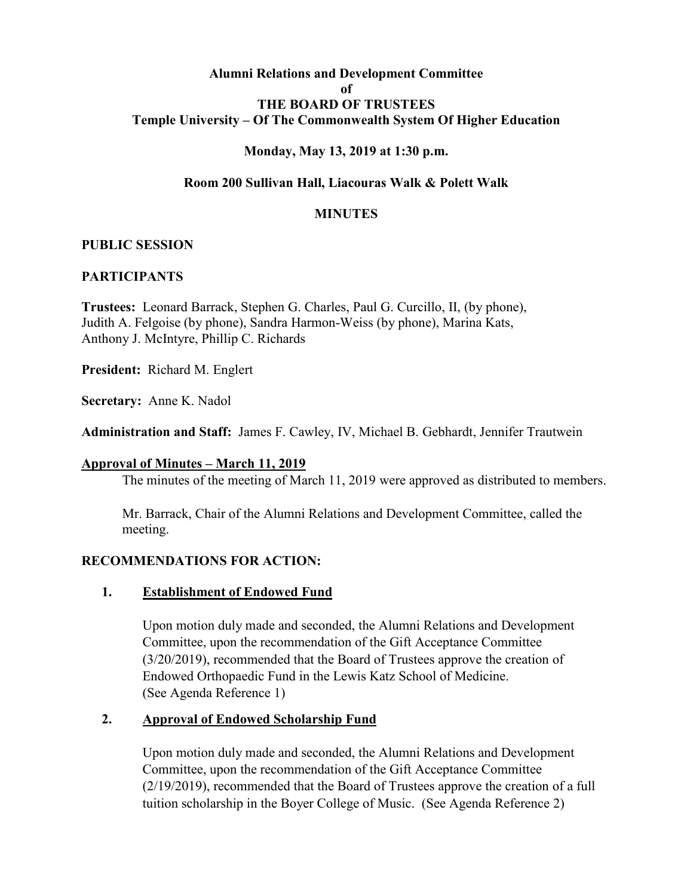### **Alumni Relations and Development Committee of THE BOARD OF TRUSTEES Temple University – Of The Commonwealth System Of Higher Education**

### **Monday, May 13, 2019 at 1:30 p.m.**

### **Room 200 Sullivan Hall, Liacouras Walk & Polett Walk**

#### **MINUTES**

#### **PUBLIC SESSION**

#### **PARTICIPANTS**

**Trustees:** Leonard Barrack, Stephen G. Charles, Paul G. Curcillo, II, (by phone), Judith A. Felgoise (by phone), Sandra Harmon-Weiss (by phone), Marina Kats, Anthony J. McIntyre, Phillip C. Richards

**President:** Richard M. Englert

**Secretary:** Anne K. Nadol

**Administration and Staff:** James F. Cawley, IV, Michael B. Gebhardt, Jennifer Trautwein

#### **Approval of Minutes – March 11, 2019**

The minutes of the meeting of March 11, 2019 were approved as distributed to members.

Mr. Barrack, Chair of the Alumni Relations and Development Committee, called the meeting.

#### **RECOMMENDATIONS FOR ACTION:**

#### **1. Establishment of Endowed Fund**

Upon motion duly made and seconded, the Alumni Relations and Development Committee, upon the recommendation of the Gift Acceptance Committee (3/20/2019), recommended that the Board of Trustees approve the creation of Endowed Orthopaedic Fund in the Lewis Katz School of Medicine. (See Agenda Reference 1)

#### **2. Approval of Endowed Scholarship Fund**

Upon motion duly made and seconded, the Alumni Relations and Development Committee, upon the recommendation of the Gift Acceptance Committee (2/19/2019), recommended that the Board of Trustees approve the creation of a full tuition scholarship in the Boyer College of Music. (See Agenda Reference 2)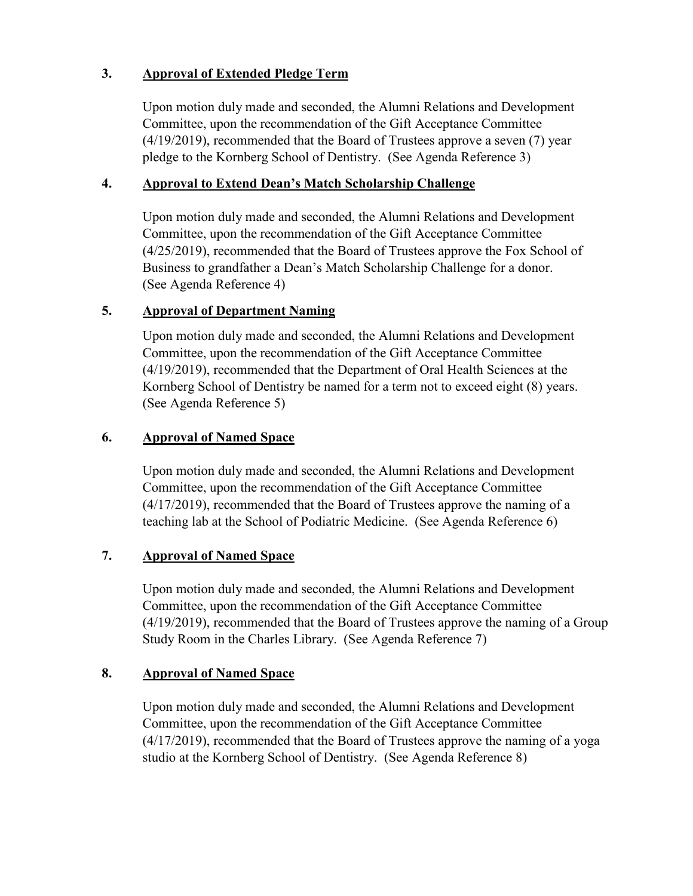## **3. Approval of Extended Pledge Term**

Upon motion duly made and seconded, the Alumni Relations and Development Committee, upon the recommendation of the Gift Acceptance Committee (4/19/2019), recommended that the Board of Trustees approve a seven (7) year pledge to the Kornberg School of Dentistry. (See Agenda Reference 3)

## **4. Approval to Extend Dean's Match Scholarship Challenge**

Upon motion duly made and seconded, the Alumni Relations and Development Committee, upon the recommendation of the Gift Acceptance Committee (4/25/2019), recommended that the Board of Trustees approve the Fox School of Business to grandfather a Dean's Match Scholarship Challenge for a donor. (See Agenda Reference 4)

# **5. Approval of Department Naming**

Upon motion duly made and seconded, the Alumni Relations and Development Committee, upon the recommendation of the Gift Acceptance Committee (4/19/2019), recommended that the Department of Oral Health Sciences at the Kornberg School of Dentistry be named for a term not to exceed eight (8) years. (See Agenda Reference 5)

## **6. Approval of Named Space**

Upon motion duly made and seconded, the Alumni Relations and Development Committee, upon the recommendation of the Gift Acceptance Committee (4/17/2019), recommended that the Board of Trustees approve the naming of a teaching lab at the School of Podiatric Medicine. (See Agenda Reference 6)

## **7. Approval of Named Space**

Upon motion duly made and seconded, the Alumni Relations and Development Committee, upon the recommendation of the Gift Acceptance Committee (4/19/2019), recommended that the Board of Trustees approve the naming of a Group Study Room in the Charles Library. (See Agenda Reference 7)

### **8. Approval of Named Space**

Upon motion duly made and seconded, the Alumni Relations and Development Committee, upon the recommendation of the Gift Acceptance Committee (4/17/2019), recommended that the Board of Trustees approve the naming of a yoga studio at the Kornberg School of Dentistry. (See Agenda Reference 8)